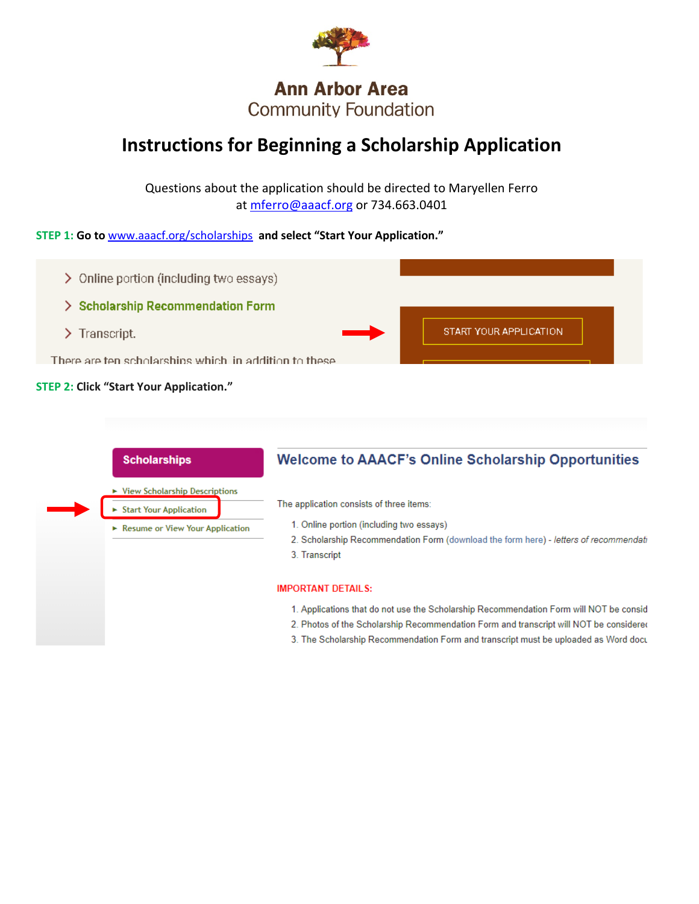

# **Instructions for Beginning a Scholarship Application**

Questions about the application should be directed to Maryellen Ferro at [mferro@aaacf.org](mailto:mferro@aaacf.org) or 734.663.0401

**STEP 1: Go to** [www.aaacf.org/scholarships](http://www.aaacf.org/scholarships) **and select "Start Your Application."**



**STEP 2: Click "Start Your Application."**



1. Applications that do not use the Scholarship Recommendation Form will NOT be consid

2. Photos of the Scholarship Recommendation Form and transcript will NOT be considered

3. The Scholarship Recommendation Form and transcript must be uploaded as Word docu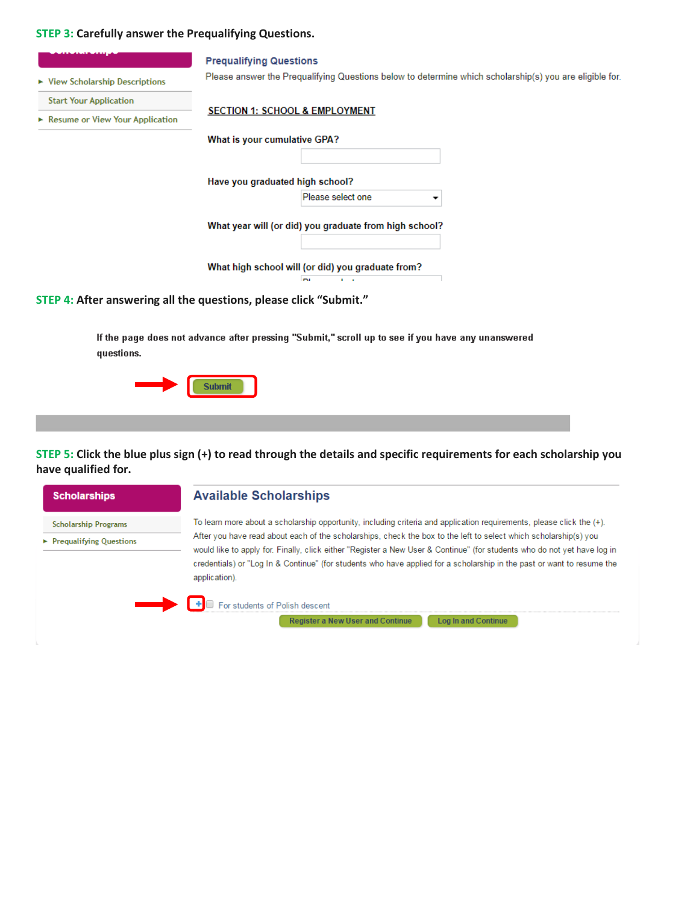## **STEP 3: Carefully answer the Prequalifying Questions.**

|                                   | <b>Prequalifying Questions</b>                                                                          |
|-----------------------------------|---------------------------------------------------------------------------------------------------------|
| ► View Scholarship Descriptions   | Please answer the Prequalifying Questions below to determine which scholarship(s) you are eligible for. |
| <b>Start Your Application</b>     |                                                                                                         |
| ► Resume or View Your Application | <b>SECTION 1: SCHOOL &amp; EMPLOYMENT</b>                                                               |
|                                   | What is your cumulative GPA?                                                                            |
|                                   | Have you graduated high school?                                                                         |
|                                   | Please select one<br>▼                                                                                  |
|                                   | What year will (or did) you graduate from high school?                                                  |
|                                   | What high school will (or did) you graduate from?<br>m<br>. .                                           |
|                                   | STEP 4: After answering all the questions, please click "Submit."                                       |
| questions.                        | If the page does not advance after pressing "Submit," scroll up to see if you have any unanswered       |

|--|--|--|

**STEP 5: Click the blue plus sign (+) to read through the details and specific requirements for each scholarship you have qualified for.** 

| <b>Scholarships</b>                           | <b>Available Scholarships</b>                                                                                                                                                                                                                                                                                                                                                           |
|-----------------------------------------------|-----------------------------------------------------------------------------------------------------------------------------------------------------------------------------------------------------------------------------------------------------------------------------------------------------------------------------------------------------------------------------------------|
| <b>Scholarship Programs</b>                   | To learn more about a scholarship opportunity, including criteria and application requirements, please click the (+).                                                                                                                                                                                                                                                                   |
| $\blacktriangleright$ Prequalifying Questions | After you have read about each of the scholarships, check the box to the left to select which scholarship(s) you<br>would like to apply for. Finally, click either "Register a New User & Continue" (for students who do not yet have log in<br>credentials) or "Log In & Continue" (for students who have applied for a scholarship in the past or want to resume the<br>application). |
| $\rightarrow$                                 | For students of Polish descent<br><b>Register a New User and Continue</b><br><b>Log In and Continue</b>                                                                                                                                                                                                                                                                                 |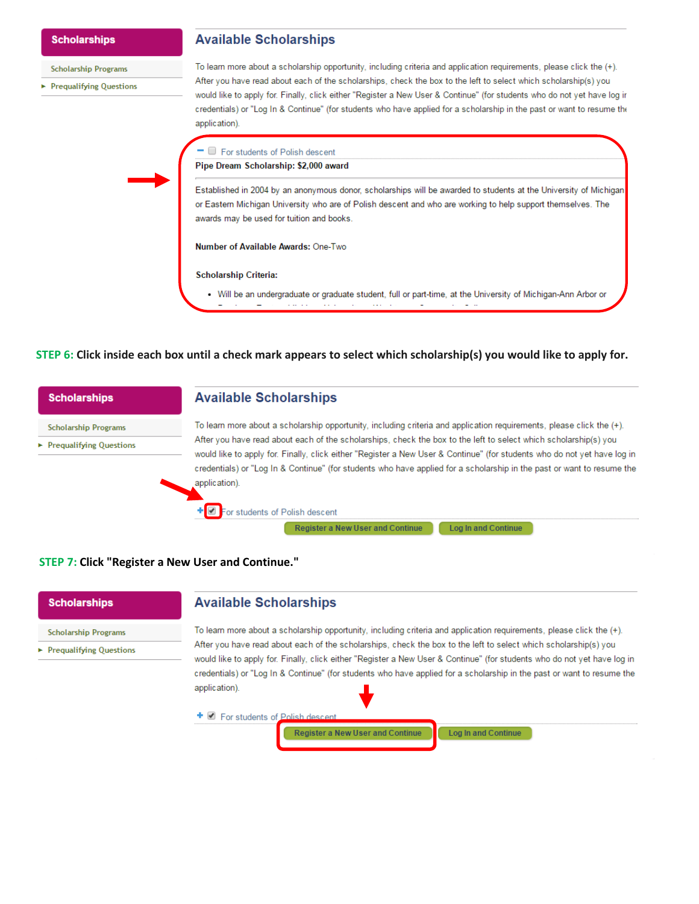| <b>Scholarships</b>                           | <b>Available Scholarships</b>                                                                                                                                                                                                                                                                                                                                                           |
|-----------------------------------------------|-----------------------------------------------------------------------------------------------------------------------------------------------------------------------------------------------------------------------------------------------------------------------------------------------------------------------------------------------------------------------------------------|
| <b>Scholarship Programs</b>                   | To learn more about a scholarship opportunity, including criteria and application requirements, please click the (+).                                                                                                                                                                                                                                                                   |
| $\blacktriangleright$ Prequalifying Questions | After you have read about each of the scholarships, check the box to the left to select which scholarship(s) you<br>would like to apply for. Finally, click either "Register a New User & Continue" (for students who do not yet have log ir<br>credentials) or "Log In & Continue" (for students who have applied for a scholarship in the past or want to resume the<br>application). |
|                                               | For students of Polish descent<br>Pipe Dream Scholarship: \$2,000 award                                                                                                                                                                                                                                                                                                                 |
|                                               |                                                                                                                                                                                                                                                                                                                                                                                         |
|                                               | Established in 2004 by an anonymous donor, scholarships will be awarded to students at the University of Michigan<br>or Eastern Michigan University who are of Polish descent and who are working to help support themselves. The                                                                                                                                                       |
|                                               | awards may be used for tuition and books.                                                                                                                                                                                                                                                                                                                                               |
|                                               | Number of Available Awards: One-Two                                                                                                                                                                                                                                                                                                                                                     |
|                                               | <b>Scholarship Criteria:</b>                                                                                                                                                                                                                                                                                                                                                            |
|                                               | • Will be an undergraduate or graduate student, full or part-time, at the University of Michigan-Ann Arbor or                                                                                                                                                                                                                                                                           |

STEP 6: Click inside each box until a check mark appears to select which scholarship(s) you would like to apply for.



### STEP 7: Click "Register a New User and Continue."

## **Scholarships**

**Scholarship Programs** 

▶ Prequalifying Questions

## **Available Scholarships**

To learn more about a scholarship opportunity, including criteria and application requirements, please click the (+). After you have read about each of the scholarships, check the box to the left to select which scholarship(s) you would like to apply for. Finally, click either "Register a New User & Continue" (for students who do not yet have log in credentials) or "Log In & Continue" (for students who have applied for a scholarship in the past or want to resume the application).

+ 2 For students of Polish

**Register a New User and Continue** 

**Log In and Continue**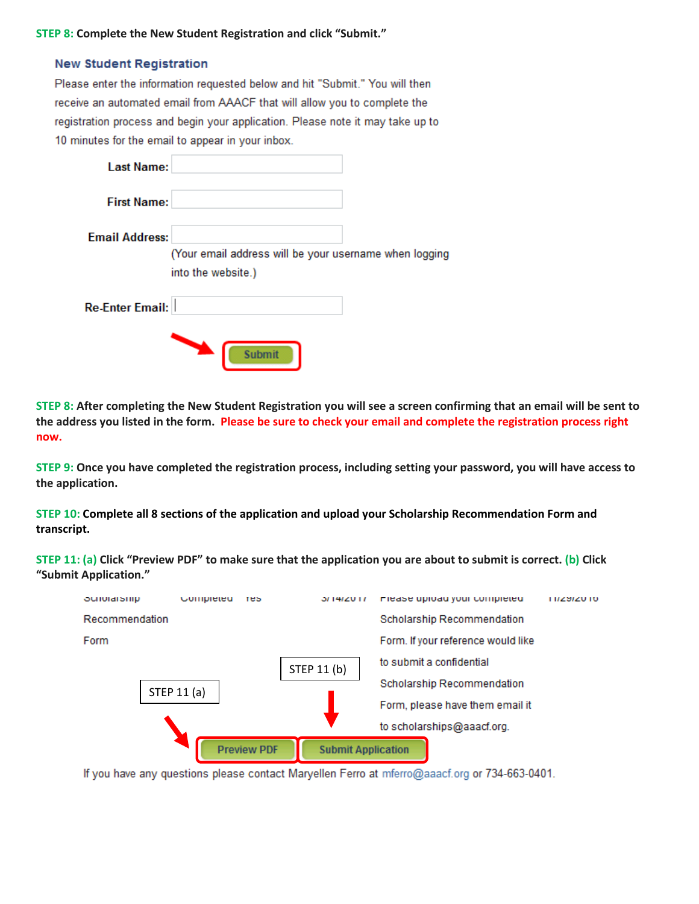### **STEP 8: Complete the New Student Registration and click "Submit."**

### **New Student Registration**

Please enter the information requested below and hit "Submit." You will then receive an automated email from AAACF that will allow you to complete the registration process and begin your application. Please note it may take up to 10 minutes for the email to appear in your inbox.

| <b>Last Name:</b>      |                                                        |  |
|------------------------|--------------------------------------------------------|--|
| <b>First Name:</b>     |                                                        |  |
| <b>Email Address:</b>  | (Your email address will be your username when logging |  |
| <b>Re-Enter Email:</b> | into the website.)                                     |  |
|                        | Submit                                                 |  |

**STEP 8: After completing the New Student Registration you will see a screen confirming that an email will be sent to the address you listed in the form. Please be sure to check your email and complete the registration process right now.**

**STEP 9: Once you have completed the registration process, including setting your password, you will have access to the application.** 

**STEP 10: Complete all 8 sections of the application and upload your Scholarship Recommendation Form and transcript.**

**STEP 11: (a) Click "Preview PDF" to make sure that the application you are about to submit is correct. (b) Click "Submit Application."**

| <b>OUTURNEY STILL</b> |             | Completed | теэ                |             | <b>3/14/2017</b>          | <b>Fiedse upload your completed</b><br><b>TIZ SIZU TO</b> |
|-----------------------|-------------|-----------|--------------------|-------------|---------------------------|-----------------------------------------------------------|
| Recommendation        |             |           |                    |             |                           | Scholarship Recommendation                                |
| Form                  |             |           |                    |             |                           | Form. If your reference would like                        |
|                       |             |           |                    | STEP 11 (b) |                           | to submit a confidential                                  |
|                       | STEP 11 (a) |           |                    |             |                           | Scholarship Recommendation                                |
|                       |             |           |                    |             |                           | Form, please have them email it                           |
|                       |             |           |                    |             |                           | to scholarships@aaacf.org.                                |
|                       |             |           | <b>Preview PDF</b> |             | <b>Submit Application</b> |                                                           |

If you have any questions please contact Maryellen Ferro at mferro@aaacf.org or 734-663-0401.